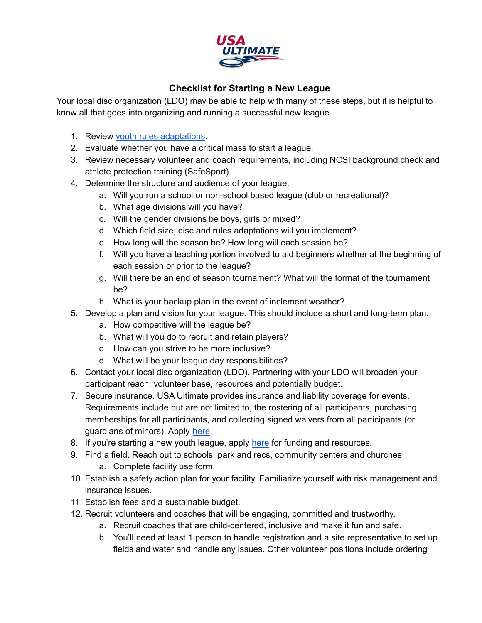

## **Checklist for Starting a New League**

Your local disc organization (LDO) may be able to help with many of these steps, but it is helpful to know all that goes into organizing and running a successful new league.

- 1. Review youth rules [adaptations.](https://www.usaultimate.org/resources/officiating/rules/2020_2021rules.aspx#appendix_d)
- 2. Evaluate whether you have a critical mass to start a league.
- 3. Review necessary volunteer and coach requirements, including NCSI background check and athlete protection training (SafeSport).
- 4. Determine the structure and audience of your league.
	- a. Will you run a school or non-school based league (club or recreational)?
	- b. What age divisions will you have?
	- c. Will the gender divisions be boys, girls or mixed?
	- d. Which field size, disc and rules adaptations will you implement?
	- e. How long will the season be? How long will each session be?
	- f. Will you have a teaching portion involved to aid beginners whether at the beginning of each session or prior to the league?
	- g. Will there be an end of season tournament? What will the format of the tournament be?
	- h. What is your backup plan in the event of inclement weather?
- 5. Develop a plan and vision for your league. This should include a short and long-term plan.
	- a. How competitive will the league be?
	- b. What will you do to recruit and retain players?
	- c. How can you strive to be more inclusive?
	- d. What will be your league day responsibilities?
- 6. Contact your local disc organization (LDO). Partnering with your LDO will broaden your participant reach, volunteer base, resources and potentially budget.
- 7. Secure insurance. USA Ultimate provides insurance and liability coverage for events. Requirements include but are not limited to, the rostering of all participants, purchasing memberships for all participants, and collecting signed waivers from all participants (or guardians of minors). Apply [here.](https://www.usaultimate.org/resources/sanctioning/league_sanctioning_application.aspx)
- 8. If you're starting a new youth league, apply [here](http://www.usaultimate.org/learntoplay) for funding and resources.
- 9. Find a field. Reach out to schools, park and recs, community centers and churches. a. Complete facility use form.
- 10. Establish a safety action plan for your facility. Familiarize yourself with risk management and insurance issues.
- 11. Establish fees and a sustainable budget.
- 12. Recruit volunteers and coaches that will be engaging, committed and trustworthy.
	- a. Recruit coaches that are child-centered, inclusive and make it fun and safe.
	- b. You'll need at least 1 person to handle registration and a site representative to set up fields and water and handle any issues. Other volunteer positions include ordering